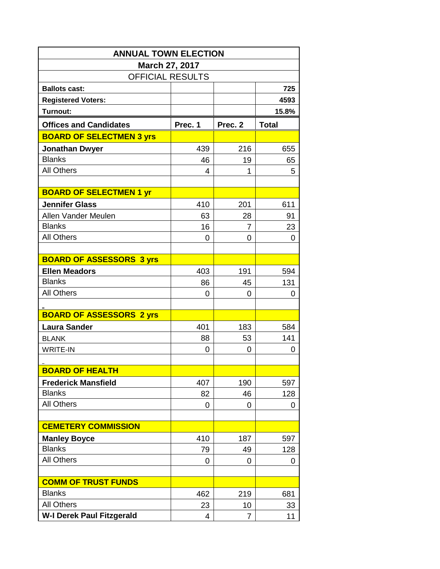| <b>ANNUAL TOWN ELECTION</b>      |           |                |              |  |  |  |  |
|----------------------------------|-----------|----------------|--------------|--|--|--|--|
| March 27, 2017                   |           |                |              |  |  |  |  |
| <b>OFFICIAL RESULTS</b>          |           |                |              |  |  |  |  |
| <b>Ballots cast:</b>             |           |                | 725          |  |  |  |  |
| <b>Registered Voters:</b>        |           |                | 4593         |  |  |  |  |
| <b>Turnout:</b>                  |           |                | 15.8%        |  |  |  |  |
| <b>Offices and Candidates</b>    | Prec. 1   | Prec. 2        | <b>Total</b> |  |  |  |  |
| <b>BOARD OF SELECTMEN 3 yrs</b>  |           |                |              |  |  |  |  |
| <b>Jonathan Dwyer</b>            | 439       | 216            | 655          |  |  |  |  |
| <b>Blanks</b>                    | 46        | 19             | 65           |  |  |  |  |
| <b>All Others</b>                | 4         | 1              | 5            |  |  |  |  |
|                                  |           |                |              |  |  |  |  |
| <b>BOARD OF SELECTMEN 1 yr</b>   |           |                |              |  |  |  |  |
| <b>Jennifer Glass</b>            | 410       | 201            | 611          |  |  |  |  |
| Allen Vander Meulen              | 63        | 28             | 91           |  |  |  |  |
| <b>Blanks</b>                    | 16        | 7              | 23           |  |  |  |  |
| <b>All Others</b>                | 0         | 0              | 0            |  |  |  |  |
|                                  |           |                |              |  |  |  |  |
| <b>BOARD OF ASSESSORS 3 yrs</b>  |           |                |              |  |  |  |  |
| <b>Ellen Meadors</b>             | 403       | 191            | 594          |  |  |  |  |
| <b>Blanks</b>                    | 86        | 45             | 131          |  |  |  |  |
| <b>All Others</b>                | 0         | 0              | 0            |  |  |  |  |
|                                  |           |                |              |  |  |  |  |
| <b>BOARD OF ASSESSORS 2 yrs</b>  |           |                |              |  |  |  |  |
| <b>Laura Sander</b>              | 401       | 183            | 584          |  |  |  |  |
| <b>BLANK</b>                     | 88        | 53             | 141          |  |  |  |  |
| <b>WRITE-IN</b>                  | 0         | 0              | 0            |  |  |  |  |
|                                  |           |                |              |  |  |  |  |
| <b>BOARD OF HEALTH</b>           |           |                |              |  |  |  |  |
| <b>Frederick Mansfield</b>       | 407       | 190            | 597          |  |  |  |  |
| <b>Blanks</b>                    | 82        | 46             | 128          |  |  |  |  |
| <b>All Others</b>                | 0         | 0              | 0            |  |  |  |  |
|                                  |           |                |              |  |  |  |  |
| <b>CEMETERY COMMISSION</b>       |           |                |              |  |  |  |  |
| <b>Manley Boyce</b>              | 410       | 187            | 597          |  |  |  |  |
| <b>Blanks</b>                    | 79        | 49             | 128          |  |  |  |  |
| <b>All Others</b>                | 0         | 0              | 0            |  |  |  |  |
| <b>COMM OF TRUST FUNDS</b>       |           |                |              |  |  |  |  |
| <b>Blanks</b>                    |           |                |              |  |  |  |  |
| <b>All Others</b>                | 462<br>23 | 219<br>10      | 681          |  |  |  |  |
| <b>W-I Derek Paul Fitzgerald</b> | 4         | $\overline{7}$ | 33<br>11     |  |  |  |  |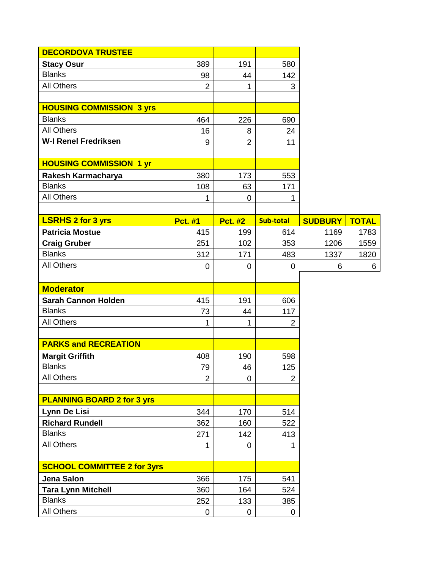| <b>DECORDOVA TRUSTEE</b>           |                |                |                  |                |              |
|------------------------------------|----------------|----------------|------------------|----------------|--------------|
| <b>Stacy Osur</b>                  | 389            | 191            | 580              |                |              |
| <b>Blanks</b>                      | 98             | 44             | 142              |                |              |
| <b>All Others</b>                  | $\overline{2}$ | 1              | 3                |                |              |
|                                    |                |                |                  |                |              |
| <b>HOUSING COMMISSION 3 yrs</b>    |                |                |                  |                |              |
| <b>Blanks</b>                      | 464            | 226            | 690              |                |              |
| <b>All Others</b>                  | 16             | 8              | 24               |                |              |
| <b>W-I Renel Fredriksen</b>        | 9              | $\overline{2}$ | 11               |                |              |
|                                    |                |                |                  |                |              |
| <b>HOUSING COMMISSION 1 yr</b>     |                |                |                  |                |              |
| Rakesh Karmacharya                 | 380            | 173            | 553              |                |              |
| <b>Blanks</b>                      | 108            | 63             | 171              |                |              |
| <b>All Others</b>                  | 1              | 0              | 1                |                |              |
|                                    |                |                |                  |                |              |
| <b>LSRHS 2 for 3 yrs</b>           | <b>Pct. #1</b> | <b>Pct. #2</b> | <b>Sub-total</b> | <b>SUDBURY</b> | <b>TOTAL</b> |
| <b>Patricia Mostue</b>             | 415            | 199            | 614              | 1169           | 1783         |
| <b>Craig Gruber</b>                | 251            | 102            | 353              | 1206           | 1559         |
| <b>Blanks</b>                      | 312            | 171            | 483              | 1337           | 1820         |
| <b>All Others</b>                  | $\overline{0}$ | 0              | 0                | 6              | 6            |
|                                    |                |                |                  |                |              |
| <b>Moderator</b>                   |                |                |                  |                |              |
| <b>Sarah Cannon Holden</b>         | 415            | 191            | 606              |                |              |
| <b>Blanks</b>                      | 73             | 44             | 117              |                |              |
| <b>All Others</b>                  | 1              | 1              | $\overline{2}$   |                |              |
|                                    |                |                |                  |                |              |
| <b>PARKS and RECREATION</b>        |                |                |                  |                |              |
| <b>Margit Griffith</b>             | 408            | 190            | 598              |                |              |
| <b>Blanks</b>                      | 79             | 46             | 125              |                |              |
| <b>All Others</b>                  | $\overline{2}$ | 0              | $\overline{2}$   |                |              |
|                                    |                |                |                  |                |              |
| <b>PLANNING BOARD 2 for 3 yrs</b>  |                |                |                  |                |              |
| Lynn De Lisi                       | 344            | 170            | 514              |                |              |
| <b>Richard Rundell</b>             | 362            | 160            | 522              |                |              |
| <b>Blanks</b>                      | 271            | 142            | 413              |                |              |
| <b>All Others</b>                  | 1              | 0              |                  |                |              |
|                                    |                |                |                  |                |              |
| <b>SCHOOL COMMITTEE 2 for 3yrs</b> |                |                |                  |                |              |
| Jena Salon                         | 366            | 175            | 541              |                |              |
| <b>Tara Lynn Mitchell</b>          | 360            | 164            | 524              |                |              |
| <b>Blanks</b>                      | 252            | 133            | 385              |                |              |
| <b>All Others</b>                  | 0              | 0              | 0                |                |              |